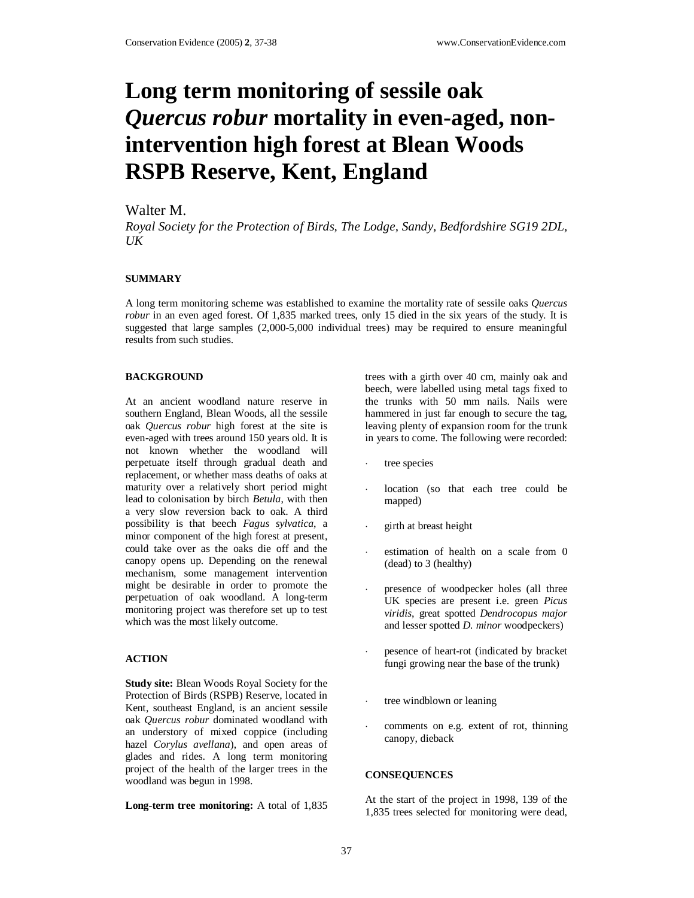# **Long term monitoring of sessile oak**  *Quercus robur* **mortality in even-aged, nonintervention high forest at Blean Woods RSPB Reserve, Kent, England**

# Walter M.

*Royal Society for the Protection of Birds, The Lodge, Sandy, Bedfordshire SG19 2DL, UK* 

## **SUMMARY**

A long term monitoring scheme was established to examine the mortality rate of sessile oaks *Quercus robur* in an even aged forest. Of 1,835 marked trees, only 15 died in the six years of the study. It is suggested that large samples (2,000-5,000 individual trees) may be required to ensure meaningful results from such studies.

#### **BACKGROUND**

At an ancient woodland nature reserve in southern England, Blean Woods, all the sessile oak *Quercus robur* high forest at the site is even-aged with trees around 150 years old. It is not known whether the woodland will perpetuate itself through gradual death and replacement, or whether mass deaths of oaks at maturity over a relatively short period might lead to colonisation by birch *Betula*, with then a very slow reversion back to oak. A third possibility is that beech *Fagus sylvatica*, a minor component of the high forest at present, could take over as the oaks die off and the canopy opens up. Depending on the renewal mechanism, some management intervention might be desirable in order to promote the perpetuation of oak woodland. A long-term monitoring project was therefore set up to test which was the most likely outcome.

#### **ACTION**

**Study site:** Blean Woods Royal Society for the Protection of Birds (RSPB) Reserve, located in Kent, southeast England, is an ancient sessile oak *Quercus robur* dominated woodland with an understory of mixed coppice (including hazel *Corylus avellana*), and open areas of glades and rides. A long term monitoring project of the health of the larger trees in the woodland was begun in 1998.

**Long-term tree monitoring:** A total of 1,835

trees with a girth over 40 cm, mainly oak and beech, were labelled using metal tags fixed to the trunks with 50 mm nails. Nails were hammered in just far enough to secure the tag, leaving plenty of expansion room for the trunk in years to come. The following were recorded:

- tree species
- location (so that each tree could be mapped)
- girth at breast height
- estimation of health on a scale from 0 (dead) to 3 (healthy)
- presence of woodpecker holes (all three UK species are present i.e. green *Picus viridis*, great spotted *Dendrocopus major* and lesser spotted *D. minor* woodpeckers)
- ⋅ pesence of heart-rot (indicated by bracket fungi growing near the base of the trunk)
- tree windblown or leaning
- comments on e.g. extent of rot, thinning canopy, dieback

## **CONSEQUENCES**

At the start of the project in 1998, 139 of the 1,835 trees selected for monitoring were dead,